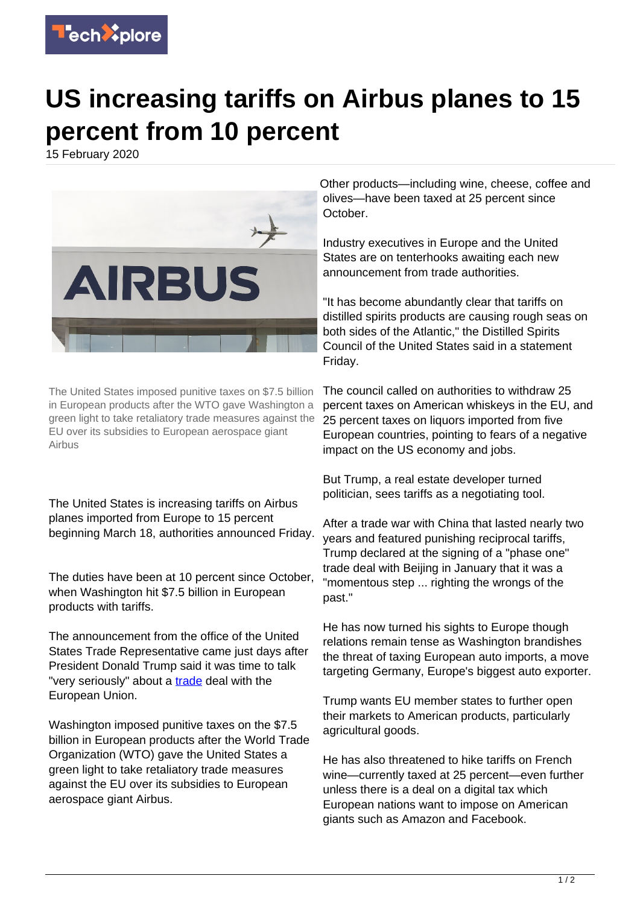

## **US increasing tariffs on Airbus planes to 15 percent from 10 percent**

15 February 2020



The United States imposed punitive taxes on \$7.5 billion in European products after the WTO gave Washington a green light to take retaliatory trade measures against the EU over its subsidies to European aerospace giant Airbus

The United States is increasing tariffs on Airbus planes imported from Europe to 15 percent beginning March 18, authorities announced Friday.

The duties have been at 10 percent since October, when Washington hit \$7.5 billion in European products with tariffs.

The announcement from the office of the United States Trade Representative came just days after President Donald Trump said it was time to talk "very seriously" about a [trade](https://techxplore.com/tags/trade/) deal with the European Union.

Washington imposed punitive taxes on the \$7.5 billion in European products after the World Trade Organization (WTO) gave the United States a green light to take retaliatory trade measures against the EU over its subsidies to European aerospace giant Airbus.

Other products—including wine, cheese, coffee and olives—have been taxed at 25 percent since October.

Industry executives in Europe and the United States are on tenterhooks awaiting each new announcement from trade authorities.

"It has become abundantly clear that tariffs on distilled spirits products are causing rough seas on both sides of the Atlantic," the Distilled Spirits Council of the United States said in a statement Friday.

The council called on authorities to withdraw 25 percent taxes on American whiskeys in the EU, and 25 percent taxes on liquors imported from five European countries, pointing to fears of a negative impact on the US economy and jobs.

But Trump, a real estate developer turned politician, sees tariffs as a negotiating tool.

After a trade war with China that lasted nearly two years and featured punishing reciprocal tariffs, Trump declared at the signing of a "phase one" trade deal with Beijing in January that it was a "momentous step ... righting the wrongs of the past."

He has now turned his sights to Europe though relations remain tense as Washington brandishes the threat of taxing European auto imports, a move targeting Germany, Europe's biggest auto exporter.

Trump wants EU member states to further open their markets to American products, particularly agricultural goods.

He has also threatened to hike tariffs on French wine—currently taxed at 25 percent—even further unless there is a deal on a digital tax which European nations want to impose on American giants such as Amazon and Facebook.